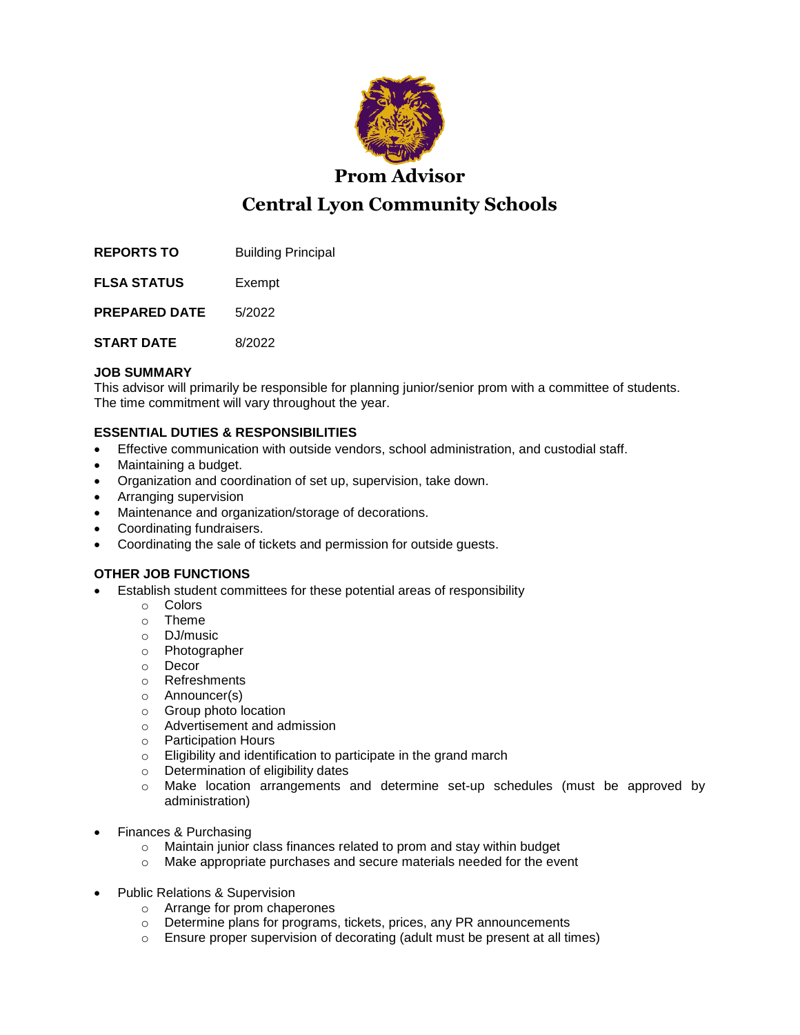

**Prom Advisor**

# **Central Lyon Community Schools**

**REPORTS TO** Building Principal

**FLSA STATUS** Exempt

**PREPARED DATE** 5/2022

**START DATE** 8/2022

## **JOB SUMMARY**

This advisor will primarily be responsible for planning junior/senior prom with a committee of students. The time commitment will vary throughout the year.

# **ESSENTIAL DUTIES & RESPONSIBILITIES**

- Effective communication with outside vendors, school administration, and custodial staff.
- Maintaining a budget.
- Organization and coordination of set up, supervision, take down.
- Arranging supervision
- Maintenance and organization/storage of decorations.
- Coordinating fundraisers.
- Coordinating the sale of tickets and permission for outside guests.

# **OTHER JOB FUNCTIONS**

- Establish student committees for these potential areas of responsibility
	- o Colors
	- o Theme
	- o DJ/music
	- o Photographer
	- o Decor
	- o Refreshments
	- o Announcer(s)
	- o Group photo location
	- o Advertisement and admission
	- o Participation Hours
	- o Eligibility and identification to participate in the grand march
	- o Determination of eligibility dates
	- o Make location arrangements and determine set-up schedules (must be approved by administration)
- Finances & Purchasing
	- o Maintain junior class finances related to prom and stay within budget
	- o Make appropriate purchases and secure materials needed for the event
- Public Relations & Supervision
	- o Arrange for prom chaperones
	- o Determine plans for programs, tickets, prices, any PR announcements
	- o Ensure proper supervision of decorating (adult must be present at all times)